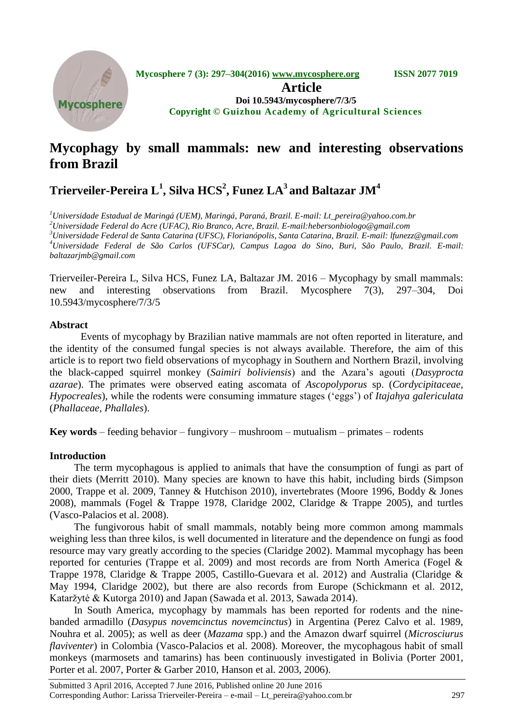

# **Mycophagy by small mammals: new and interesting observations from Brazil**

# **Trierveiler-Pereira L<sup>1</sup> , Silva HCS<sup>2</sup> , Funez LA<sup>3</sup>and Baltazar JM<sup>4</sup>**

*<sup>1</sup>Universidade Estadual de Maringá (UEM), Maringá, Paraná, Brazil. E-mail: Lt\_pereira@yahoo.com.br*

*<sup>2</sup>Universidade Federal do Acre (UFAC), Rio Branco, Acre, Brazil. E-mail:hebersonbiologo@gmail.com*

*<sup>3</sup>Universidade Federal de Santa Catarina (UFSC), Florianópolis, Santa Catarina, Brazil. E-mail: lfunezz@gmail.com <sup>4</sup>Universidade Federal de São Carlos (UFSCar), Campus Lagoa do Sino, Buri, São Paulo, Brazil. E-mail: baltazarjmb@gmail.com*

Trierveiler-Pereira L, Silva HCS, Funez LA, Baltazar JM. 2016 – Mycophagy by small mammals: new and interesting observations from Brazil. Mycosphere 7(3), 297–304, Doi 10.5943/mycosphere/7/3/5

# **Abstract**

Events of mycophagy by Brazilian native mammals are not often reported in literature, and the identity of the consumed fungal species is not always available. Therefore, the aim of this article is to report two field observations of mycophagy in Southern and Northern Brazil, involving the black-capped squirrel monkey (*Saimiri boliviensis*) and the Azara"s agouti (*Dasyprocta azarae*). The primates were observed eating ascomata of *Ascopolyporus* sp. (*Cordycipitaceae, Hypocreales*), while the rodents were consuming immature stages ("eggs") of *Itajahya galericulata* (*Phallaceae, Phallales*).

**Key words** – feeding behavior – fungivory – mushroom – mutualism – primates – rodents

# **Introduction**

The term mycophagous is applied to animals that have the consumption of fungi as part of their diets (Merritt 2010). Many species are known to have this habit, including birds (Simpson 2000, Trappe et al. 2009, Tanney & Hutchison 2010), invertebrates (Moore 1996, Boddy & Jones 2008), mammals (Fogel & Trappe 1978, Claridge 2002, Claridge & Trappe 2005), and turtles (Vasco-Palacios et al. 2008).

The fungivorous habit of small mammals, notably being more common among mammals weighing less than three kilos, is well documented in literature and the dependence on fungi as food resource may vary greatly according to the species (Claridge 2002). Mammal mycophagy has been reported for centuries (Trappe et al. 2009) and most records are from North America (Fogel & Trappe 1978, Claridge & Trappe 2005, Castillo-Guevara et al. 2012) and Australia (Claridge & May 1994, Claridge 2002), but there are also records from Europe (Schickmann et al. 2012, Kataržytė & Kutorga 2010) and Japan (Sawada et al. 2013, Sawada 2014).

In South America, mycophagy by mammals has been reported for rodents and the ninebanded armadillo (*Dasypus novemcinctus novemcinctus*) in Argentina (Perez Calvo et al. 1989, Nouhra et al. 2005); as well as deer (*Mazama* spp.) and the Amazon dwarf squirrel (*Microsciurus flaviventer*) in Colombia (Vasco-Palacios et al. 2008). Moreover, the mycophagous habit of small monkeys (marmosets and tamarins) has been continuously investigated in Bolivia (Porter 2001, Porter et al. 2007, Porter & Garber 2010, Hanson et al. 2003, 2006).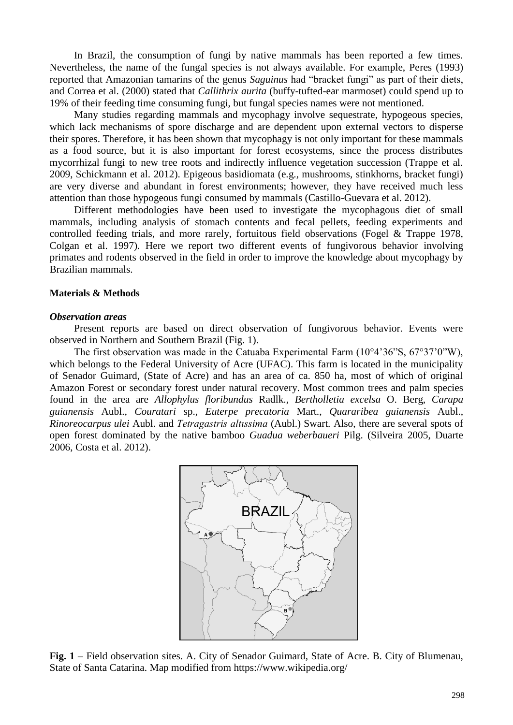In Brazil, the consumption of fungi by native mammals has been reported a few times. Nevertheless, the name of the fungal species is not always available. For example, Peres (1993) reported that Amazonian tamarins of the genus *Saguinus* had "bracket fungi" as part of their diets, and Correa et al. (2000) stated that *Callithrix aurita* (buffy-tufted-ear marmoset) could spend up to 19% of their feeding time consuming fungi, but fungal species names were not mentioned.

Many studies regarding mammals and mycophagy involve sequestrate, hypogeous species, which lack mechanisms of spore discharge and are dependent upon external vectors to disperse their spores. Therefore, it has been shown that mycophagy is not only important for these mammals as a food source, but it is also important for forest ecosystems, since the process distributes mycorrhizal fungi to new tree roots and indirectly influence vegetation succession (Trappe et al. 2009, Schickmann et al. 2012). Epigeous basidiomata (e.g., mushrooms, stinkhorns, bracket fungi) are very diverse and abundant in forest environments; however, they have received much less attention than those hypogeous fungi consumed by mammals (Castillo-Guevara et al. 2012).

Different methodologies have been used to investigate the mycophagous diet of small mammals, including analysis of stomach contents and fecal pellets, feeding experiments and controlled feeding trials, and more rarely, fortuitous field observations (Fogel & Trappe 1978, Colgan et al. 1997). Here we report two different events of fungivorous behavior involving primates and rodents observed in the field in order to improve the knowledge about mycophagy by Brazilian mammals.

## **Materials & Methods**

#### *Observation areas*

Present reports are based on direct observation of fungivorous behavior. Events were observed in Northern and Southern Brazil (Fig. 1).

The first observation was made in the Catuaba Experimental Farm (10°4'36"S, 67°37'0"W), which belongs to the Federal University of Acre (UFAC). This farm is located in the municipality of Senador Guimard, (State of Acre) and has an area of ca. 850 ha, most of which of original Amazon Forest or secondary forest under natural recovery. Most common trees and palm species found in the area are *Allophylus floribundus* Radlk., *Bertholletia excelsa* O. Berg, *Carapa guianensis* Aubl., *Couratari* sp., *Euterpe precatoria* Mart., *Quararibea guianensis* Aubl., *Rinoreocarpus ulei* Aubl. and *Tetragastris altıssima* (Aubl.) Swart*.* Also, there are several spots of open forest dominated by the native bamboo *Guadua weberbaueri* Pilg. (Silveira 2005, Duarte 2006, Costa et al. 2012).



**Fig. 1** – Field observation sites. A. City of Senador Guimard, State of Acre. B. City of Blumenau, State of Santa Catarina. Map modified from https://www.wikipedia.org/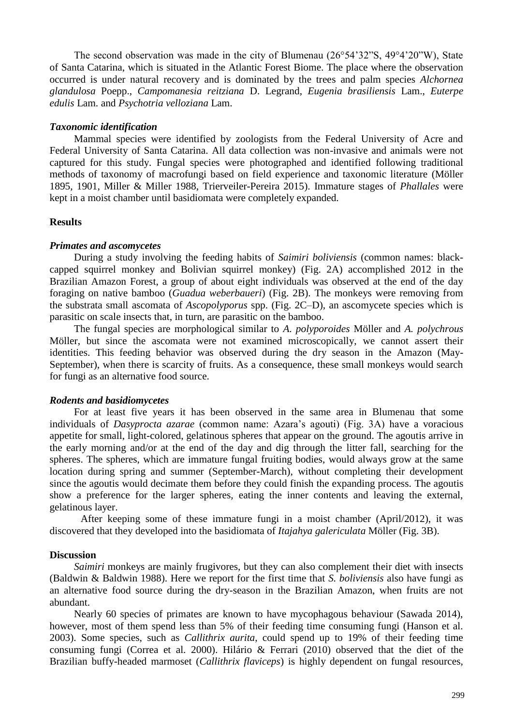The second observation was made in the city of Blumenau  $(26^{\circ}54^{\circ}32^{\circ}S, 49^{\circ}4^{\circ}20^{\circ}W)$ , State of Santa Catarina, which is situated in the Atlantic Forest Biome. The place where the observation occurred is under natural recovery and is dominated by the trees and palm species *Alchornea glandulosa* Poepp., *Campomanesia reitziana* D. Legrand, *Eugenia brasiliensis* Lam., *Euterpe edulis* Lam. and *Psychotria velloziana* Lam.

### *Taxonomic identification*

Mammal species were identified by zoologists from the Federal University of Acre and Federal University of Santa Catarina. All data collection was non-invasive and animals were not captured for this study. Fungal species were photographed and identified following traditional methods of taxonomy of macrofungi based on field experience and taxonomic literature (Möller 1895, 1901, Miller & Miller 1988, Trierveiler-Pereira 2015). Immature stages of *Phallales* were kept in a moist chamber until basidiomata were completely expanded.

# **Results**

# *Primates and ascomycetes*

During a study involving the feeding habits of *Saimiri boliviensis* (common names: blackcapped squirrel monkey and Bolivian squirrel monkey) (Fig. 2A) accomplished 2012 in the Brazilian Amazon Forest, a group of about eight individuals was observed at the end of the day foraging on native bamboo (*Guadua weberbaueri*) (Fig. 2B). The monkeys were removing from the substrata small ascomata of *Ascopolyporus* spp. (Fig. 2C–D), an ascomycete species which is parasitic on scale insects that, in turn, are parasitic on the bamboo.

The fungal species are morphological similar to *A. polyporoides* Möller and *A. polychrous* Möller, but since the ascomata were not examined microscopically, we cannot assert their identities. This feeding behavior was observed during the dry season in the Amazon (May-September), when there is scarcity of fruits. As a consequence, these small monkeys would search for fungi as an alternative food source.

### *Rodents and basidiomycetes*

For at least five years it has been observed in the same area in Blumenau that some individuals of *Dasyprocta azarae* (common name: Azara"s agouti) (Fig. 3A) have a voracious appetite for small, light-colored, gelatinous spheres that appear on the ground. The agoutis arrive in the early morning and/or at the end of the day and dig through the litter fall, searching for the spheres. The spheres, which are immature fungal fruiting bodies, would always grow at the same location during spring and summer (September-March), without completing their development since the agoutis would decimate them before they could finish the expanding process. The agoutis show a preference for the larger spheres, eating the inner contents and leaving the external, gelatinous layer.

After keeping some of these immature fungi in a moist chamber (April/2012), it was discovered that they developed into the basidiomata of *Itajahya galericulata* Möller (Fig. 3B).

## **Discussion**

*Saimiri* monkeys are mainly frugivores, but they can also complement their diet with insects (Baldwin & Baldwin 1988). Here we report for the first time that *S. boliviensis* also have fungi as an alternative food source during the dry-season in the Brazilian Amazon, when fruits are not abundant.

Nearly 60 species of primates are known to have mycophagous behaviour (Sawada 2014), however, most of them spend less than 5% of their feeding time consuming fungi (Hanson et al. 2003). Some species, such as *Callithrix aurita*, could spend up to 19% of their feeding time consuming fungi (Correa et al. 2000). Hilário & Ferrari (2010) observed that the diet of the Brazilian buffy-headed marmoset (*Callithrix flaviceps*) is highly dependent on fungal resources,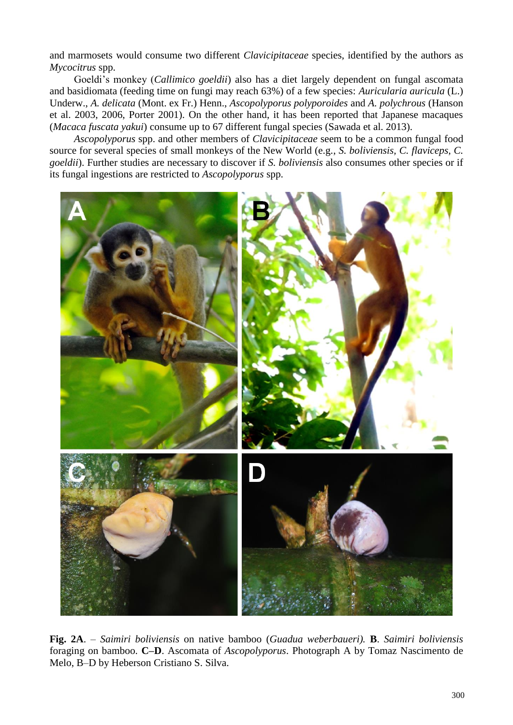and marmosets would consume two different *Clavicipitaceae* species, identified by the authors as *Mycocitrus* spp.

Goeldi"s monkey (*Callimico goeldii*) also has a diet largely dependent on fungal ascomata and basidiomata (feeding time on fungi may reach 63%) of a few species: *Auricularia auricula* (L.) Underw., *A. delicata* (Mont. ex Fr.) Henn., *Ascopolyporus polyporoides* and *A. polychrous* (Hanson et al. 2003, 2006, Porter 2001). On the other hand, it has been reported that Japanese macaques (*Macaca fuscata yakui*) consume up to 67 different fungal species (Sawada et al. 2013).

*Ascopolyporus* spp. and other members of *Clavicipitaceae* seem to be a common fungal food source for several species of small monkeys of the New World (e.g., *S. boliviensis, C. flaviceps, C. goeldii*). Further studies are necessary to discover if *S. boliviensis* also consumes other species or if its fungal ingestions are restricted to *Ascopolyporus* spp.



**Fig. 2A**. – *Saimiri boliviensis* on native bamboo (*Guadua weberbaueri).* **B**. *Saimiri boliviensis* foraging on bamboo. **C–D**. Ascomata of *Ascopolyporus*. Photograph A by Tomaz Nascimento de Melo, B–D by Heberson Cristiano S. Silva.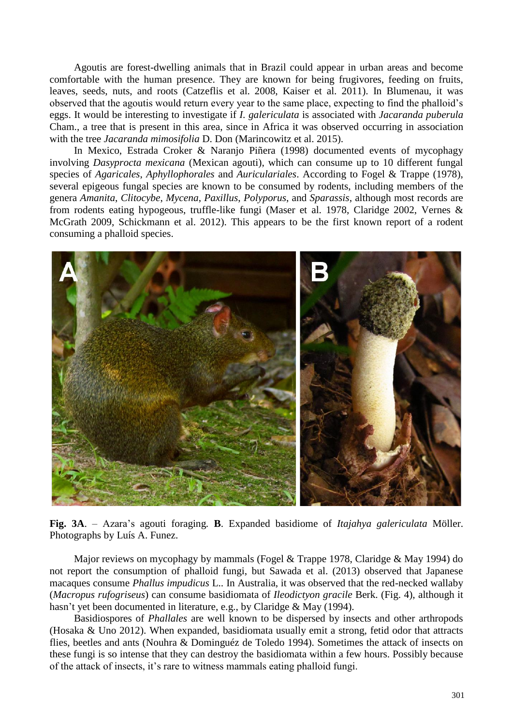Agoutis are forest-dwelling animals that in Brazil could appear in urban areas and become comfortable with the human presence. They are known for being frugivores, feeding on fruits, leaves, seeds, nuts, and roots (Catzeflis et al. 2008, Kaiser et al. 2011). In Blumenau, it was observed that the agoutis would return every year to the same place, expecting to find the phalloid"s eggs. It would be interesting to investigate if *I. galericulata* is associated with *Jacaranda puberula*  Cham., a tree that is present in this area, since in Africa it was observed occurring in association with the tree *Jacaranda mimosifolia* D. Don (Marincowitz et al. 2015).

In Mexico, Estrada Croker & Naranjo Piñera (1998) documented events of mycophagy involving *Dasyprocta mexicana* (Mexican agouti), which can consume up to 10 different fungal species of *Agaricales*, *Aphyllophorales* and *Auriculariales*. According to Fogel & Trappe (1978), several epigeous fungal species are known to be consumed by rodents, including members of the genera *Amanita*, *Clitocybe*, *Mycena*, *Paxillus*, *Polyporus*, and *Sparassis*, although most records are from rodents eating hypogeous, truffle-like fungi (Maser et al. 1978, Claridge 2002, Vernes & McGrath 2009, Schickmann et al. 2012). This appears to be the first known report of a rodent consuming a phalloid species.



**Fig. 3A**. – Azara"s agouti foraging*.* **B**. Expanded basidiome of *Itajahya galericulata* Möller. Photographs by Luís A. Funez.

Major reviews on mycophagy by mammals (Fogel & Trappe 1978, Claridge & May 1994) do not report the consumption of phalloid fungi, but Sawada et al. (2013) observed that Japanese macaques consume *Phallus impudicus* L.. In Australia, it was observed that the red-necked wallaby (*Macropus rufogriseus*) can consume basidiomata of *Ileodictyon gracile* Berk. (Fig. 4), although it hasn't yet been documented in literature, e.g., by Claridge & May (1994).

Basidiospores of *Phallales* are well known to be dispersed by insects and other arthropods (Hosaka & Uno 2012). When expanded, basidiomata usually emit a strong, fetid odor that attracts flies, beetles and ants (Nouhra & Dominguéz de Toledo 1994). Sometimes the attack of insects on these fungi is so intense that they can destroy the basidiomata within a few hours. Possibly because of the attack of insects, it"s rare to witness mammals eating phalloid fungi.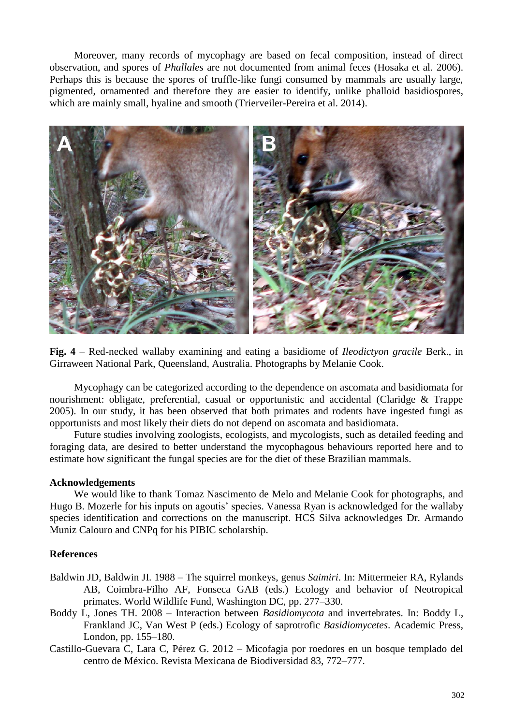Moreover, many records of mycophagy are based on fecal composition, instead of direct observation, and spores of *Phallales* are not documented from animal feces (Hosaka et al. 2006). Perhaps this is because the spores of truffle-like fungi consumed by mammals are usually large, pigmented, ornamented and therefore they are easier to identify, unlike phalloid basidiospores, which are mainly small, hyaline and smooth (Trierveiler-Pereira et al. 2014).



**Fig. 4** – Red-necked wallaby examining and eating a basidiome of *Ileodictyon gracile* Berk., in Girraween National Park, Queensland, Australia. Photographs by Melanie Cook.

Mycophagy can be categorized according to the dependence on ascomata and basidiomata for nourishment: obligate, preferential, casual or opportunistic and accidental (Claridge & Trappe 2005). In our study, it has been observed that both primates and rodents have ingested fungi as opportunists and most likely their diets do not depend on ascomata and basidiomata.

Future studies involving zoologists, ecologists, and mycologists, such as detailed feeding and foraging data, are desired to better understand the mycophagous behaviours reported here and to estimate how significant the fungal species are for the diet of these Brazilian mammals.

# **Acknowledgements**

We would like to thank Tomaz Nascimento de Melo and Melanie Cook for photographs, and Hugo B. Mozerle for his inputs on agoutis' species. Vanessa Ryan is acknowledged for the wallaby species identification and corrections on the manuscript. HCS Silva acknowledges Dr. Armando Muniz Calouro and CNPq for his PIBIC scholarship.

### **References**

- Baldwin JD, Baldwin JI. 1988 The squirrel monkeys, genus *Saimiri*. In: Mittermeier RA, Rylands AB, Coimbra-Filho AF, Fonseca GAB (eds.) Ecology and behavior of Neotropical primates. World Wildlife Fund, Washington DC, pp. 277–330.
- Boddy L, Jones TH. 2008 Interaction between *Basidiomycota* and invertebrates. In: Boddy L, Frankland JC, Van West P (eds.) Ecology of saprotrofic *Basidiomycetes*. Academic Press, London, pp. 155–180.
- Castillo-Guevara C, Lara C, Pérez G. 2012 Micofagia por roedores en un bosque templado del centro de México. Revista Mexicana de Biodiversidad 83, 772–777.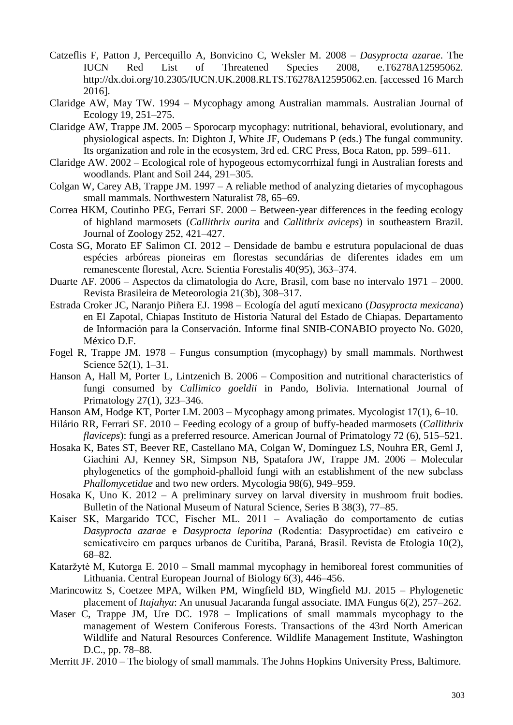- Catzeflis F, Patton J, Percequillo A, Bonvicino C, Weksler M. 2008 *Dasyprocta azarae*. The IUCN Red List of Threatened Species 2008, e.T6278A12595062. http://dx.doi.org/10.2305/IUCN.UK.2008.RLTS.T6278A12595062.en. [accessed 16 March 2016].
- Claridge AW, May TW. 1994 Mycophagy among Australian mammals. Australian Journal of Ecology 19, 251–275.
- Claridge AW, Trappe JM. 2005 Sporocarp mycophagy: nutritional, behavioral, evolutionary, and physiological aspects. In: Dighton J, White JF, Oudemans P (eds.) The fungal community. Its organization and role in the ecosystem, 3rd ed. CRC Press, Boca Raton, pp. 599–611.
- Claridge AW. 2002 Ecological role of hypogeous ectomycorrhizal fungi in Australian forests and woodlands. Plant and Soil 244, 291–305.
- Colgan W, Carey AB, Trappe JM. 1997 A reliable method of analyzing dietaries of mycophagous small mammals. Northwestern Naturalist 78, 65–69.
- Correa HKM, Coutinho PEG, Ferrari SF. 2000 Between-year differences in the feeding ecology of highland marmosets (*Callithrix aurita* and *Callithrix aviceps*) in southeastern Brazil. Journal of Zoology 252, 421–427.
- Costa SG, Morato EF Salimon CI. 2012 Densidade de bambu e estrutura populacional de duas espécies arbóreas pioneiras em florestas secundárias de diferentes idades em um remanescente florestal, Acre. Scientia Forestalis 40(95), 363–374.
- Duarte AF. 2006 Aspectos da climatologia do Acre, Brasil, com base no intervalo 1971 2000. Revista Brasileira de Meteorologia 21(3b), 308–317.
- Estrada Croker JC, Naranjo Piñera EJ. 1998 Ecología del agutí mexicano (*Dasyprocta mexicana*) en El Zapotal, Chiapas Instituto de Historia Natural del Estado de Chiapas. Departamento de Información para la Conservación. Informe final SNIB-CONABIO proyecto No. G020, México D.F.
- Fogel R, Trappe JM. 1978 Fungus consumption (mycophagy) by small mammals. Northwest Science 52(1), 1–31.
- Hanson A, Hall M, Porter L, Lintzenich B. 2006 Composition and nutritional characteristics of fungi consumed by *Callimico goeldii* in Pando, Bolivia. International Journal of Primatology 27(1), 323–346.
- Hanson AM, Hodge KT, Porter LM. 2003 Mycophagy among primates. Mycologist 17(1), 6–10.
- Hilário RR, Ferrari SF. 2010 Feeding ecology of a group of buffy-headed marmosets (*Callithrix flaviceps*): fungi as a preferred resource. American Journal of Primatology 72 (6), 515–521.
- Hosaka K, Bates ST, Beever RE, Castellano MA, Colgan W, Domínguez LS, Nouhra ER, Geml J, Giachini AJ, Kenney SR, Simpson NB, Spatafora JW, Trappe JM. 2006 – Molecular phylogenetics of the gomphoid-phalloid fungi with an establishment of the new subclass *Phallomycetidae* and two new orders. Mycologia 98(6), 949–959.
- Hosaka K, Uno K. 2012 A preliminary survey on larval diversity in mushroom fruit bodies. Bulletin of the National Museum of Natural Science, Series B 38(3), 77–85.
- Kaiser SK, Margarido TCC, Fischer ML. 2011 Avaliação do comportamento de cutias Dasyprocta azarae e Dasyprocta leporina (Rodentia: Dasyproctidae) em cativeiro e semicativeiro em parques urbanos de Curitiba, Paraná, Brasil. Revista de Etologia 10(2), 68–82.
- Kataržytė M, Kutorga E. 2010 Small mammal mycophagy in hemiboreal forest communities of Lithuania. Central European Journal of Biology 6(3), 446–456.
- Marincowitz S, Coetzee MPA, Wilken PM, Wingfield BD, Wingfield MJ. 2015 Phylogenetic placement of *Itajahya*: An unusual Jacaranda fungal associate. IMA Fungus 6(2), 257–262.
- Maser C, Trappe JM, Ure DC. 1978 Implications of small mammals mycophagy to the management of Western Coniferous Forests. Transactions of the 43rd North American Wildlife and Natural Resources Conference. Wildlife Management Institute, Washington D.C., pp. 78–88.
- Merritt JF. 2010 The biology of small mammals. The Johns Hopkins University Press, Baltimore.